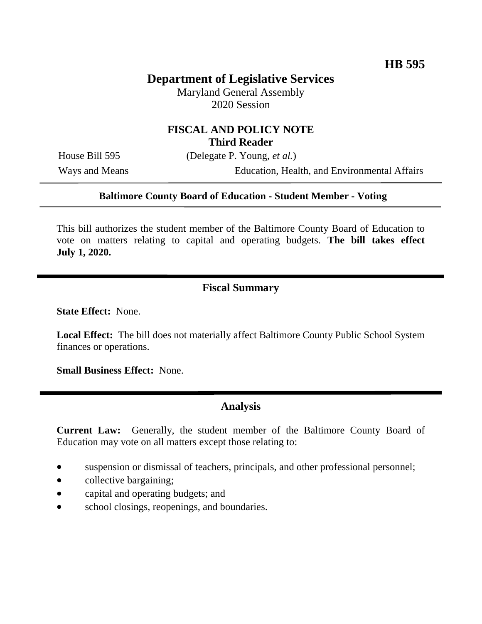## **Department of Legislative Services**

Maryland General Assembly 2020 Session

#### **FISCAL AND POLICY NOTE Third Reader**

House Bill 595 (Delegate P. Young, *et al.*)

Ways and Means Education, Health, and Environmental Affairs

#### **Baltimore County Board of Education - Student Member - Voting**

This bill authorizes the student member of the Baltimore County Board of Education to vote on matters relating to capital and operating budgets. **The bill takes effect July 1, 2020.**

### **Fiscal Summary**

**State Effect:** None.

**Local Effect:** The bill does not materially affect Baltimore County Public School System finances or operations.

**Small Business Effect:** None.

#### **Analysis**

**Current Law:** Generally, the student member of the Baltimore County Board of Education may vote on all matters except those relating to:

- suspension or dismissal of teachers, principals, and other professional personnel;
- collective bargaining;
- capital and operating budgets; and
- school closings, reopenings, and boundaries.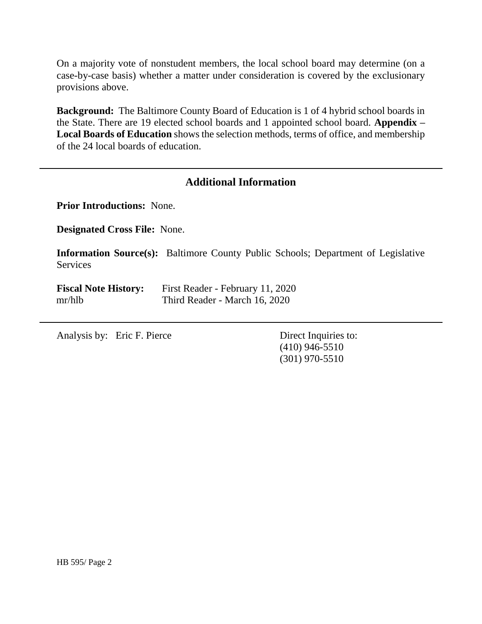On a majority vote of nonstudent members, the local school board may determine (on a case-by-case basis) whether a matter under consideration is covered by the exclusionary provisions above.

**Background:** The Baltimore County Board of Education is 1 of 4 hybrid school boards in the State. There are 19 elected school boards and 1 appointed school board. **Appendix – Local Boards of Education** shows the selection methods, terms of office, and membership of the 24 local boards of education.

#### **Additional Information**

**Prior Introductions:** None.

**Designated Cross File:** None.

**Information Source(s):** Baltimore County Public Schools; Department of Legislative Services

| <b>Fiscal Note History:</b> | First Reader - February 11, 2020 |
|-----------------------------|----------------------------------|
| mr/hlb                      | Third Reader - March 16, 2020    |

Analysis by: Eric F. Pierce Direct Inquiries to:

(410) 946-5510 (301) 970-5510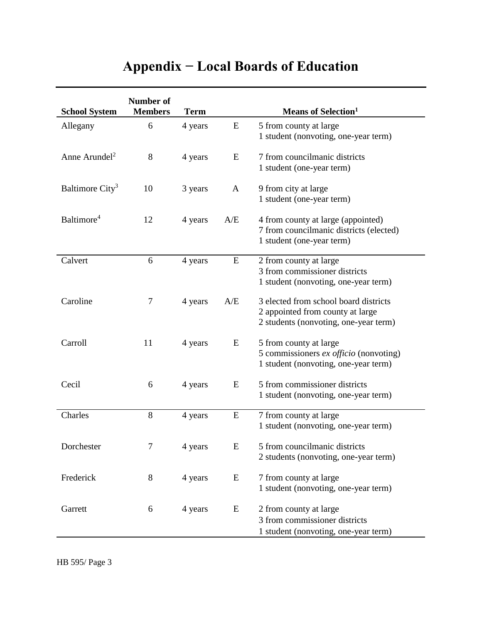# **Appendix − Local Boards of Education**

| <b>School System</b>        | Number of<br><b>Members</b> | <b>Term</b> |              | <b>Means of Selection</b> <sup>1</sup>                                                                             |
|-----------------------------|-----------------------------|-------------|--------------|--------------------------------------------------------------------------------------------------------------------|
| Allegany                    | 6                           | 4 years     | E            | 5 from county at large<br>1 student (nonvoting, one-year term)                                                     |
| Anne Arundel <sup>2</sup>   | 8                           | 4 years     | E            | 7 from councilmanic districts<br>1 student (one-year term)                                                         |
| Baltimore City <sup>3</sup> | 10                          | 3 years     | $\mathbf{A}$ | 9 from city at large<br>1 student (one-year term)                                                                  |
| Baltimore <sup>4</sup>      | 12                          | 4 years     | A/E          | 4 from county at large (appointed)<br>7 from councilmanic districts (elected)<br>1 student (one-year term)         |
| Calvert                     | 6                           | 4 years     | E            | 2 from county at large<br>3 from commissioner districts<br>1 student (nonvoting, one-year term)                    |
| Caroline                    | $\tau$                      | 4 years     | A/E          | 3 elected from school board districts<br>2 appointed from county at large<br>2 students (nonvoting, one-year term) |
| Carroll                     | 11                          | 4 years     | E            | 5 from county at large<br>5 commissioners ex officio (nonvoting)<br>1 student (nonvoting, one-year term)           |
| Cecil                       | 6                           | 4 years     | E            | 5 from commissioner districts<br>1 student (nonvoting, one-year term)                                              |
| Charles                     | 8                           | 4 years     | E            | 7 from county at large<br>1 student (nonvoting, one-year term)                                                     |
| Dorchester                  | 7                           | 4 years     | E            | 5 from councilmanic districts<br>2 students (nonvoting, one-year term)                                             |
| Frederick                   | 8                           | 4 years     | E            | 7 from county at large<br>1 student (nonvoting, one-year term)                                                     |
| Garrett                     | 6                           | 4 years     | E            | 2 from county at large<br>3 from commissioner districts<br>1 student (nonvoting, one-year term)                    |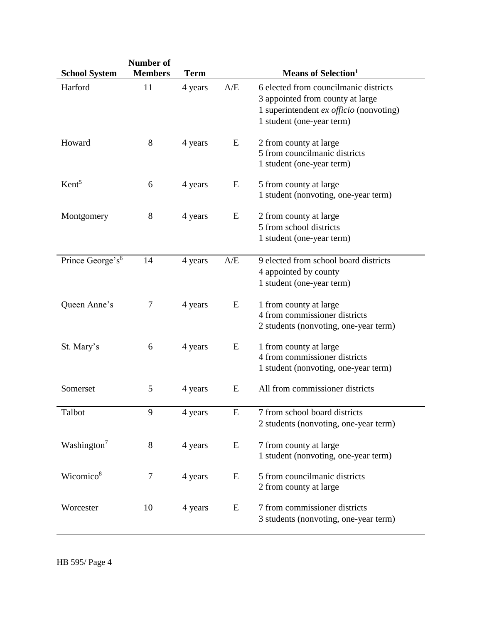| <b>School System</b>         | Number of<br><b>Members</b> | <b>Term</b> |     | <b>Means of Selection</b> <sup>1</sup>                                                                                                            |
|------------------------------|-----------------------------|-------------|-----|---------------------------------------------------------------------------------------------------------------------------------------------------|
| Harford                      | 11                          | 4 years     | A/E | 6 elected from councilmanic districts<br>3 appointed from county at large<br>1 superintendent ex officio (nonvoting)<br>1 student (one-year term) |
| Howard                       | $8\,$                       | 4 years     | E   | 2 from county at large<br>5 from councilmanic districts<br>1 student (one-year term)                                                              |
| Kent <sup>5</sup>            | 6                           | 4 years     | E   | 5 from county at large<br>1 student (nonvoting, one-year term)                                                                                    |
| Montgomery                   | 8                           | 4 years     | E   | 2 from county at large<br>5 from school districts<br>1 student (one-year term)                                                                    |
| Prince George's <sup>6</sup> | 14                          | 4 years     | A/E | 9 elected from school board districts<br>4 appointed by county<br>1 student (one-year term)                                                       |
| Queen Anne's                 | 7                           | 4 years     | E   | 1 from county at large<br>4 from commissioner districts<br>2 students (nonvoting, one-year term)                                                  |
| St. Mary's                   | 6                           | 4 years     | E   | 1 from county at large<br>4 from commissioner districts<br>1 student (nonvoting, one-year term)                                                   |
| Somerset                     | 5                           | 4 years     | E   | All from commissioner districts                                                                                                                   |
| Talbot                       | 9                           | 4 years     | E   | 7 from school board districts<br>2 students (nonvoting, one-year term)                                                                            |
| Washington <sup>7</sup>      | 8                           | 4 years     | E   | 7 from county at large<br>1 student (nonvoting, one-year term)                                                                                    |
| Wicomico <sup>8</sup>        | $\tau$                      | 4 years     | E   | 5 from councilmanic districts<br>2 from county at large                                                                                           |
| Worcester                    | 10                          | 4 years     | E   | 7 from commissioner districts<br>3 students (nonvoting, one-year term)                                                                            |